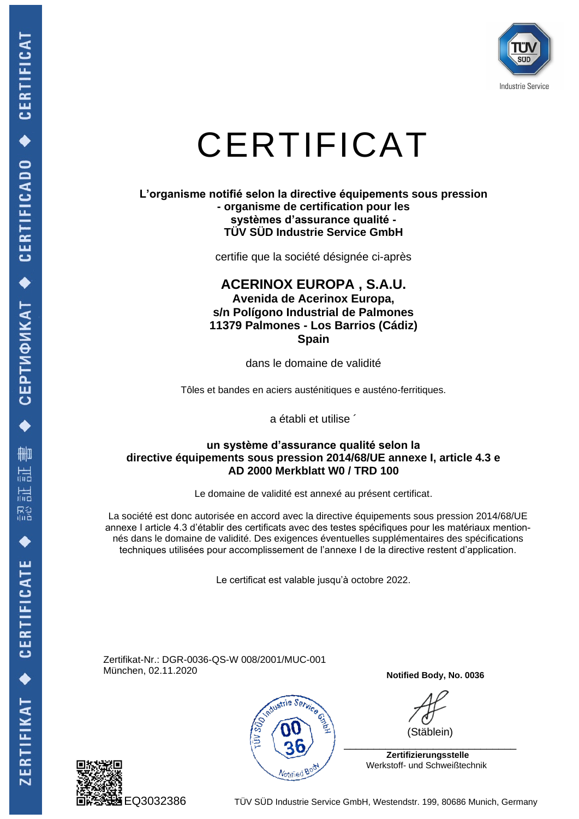

### CERTIFICAT

#### **L'organisme notifié selon la directive équipements sous pression - organisme de certification pour les systèmes d'assurance qualité - TÜV SÜD Industrie Service GmbH**

certifie que la société désignée ci-après

### **ACERINOX EUROPA , S.A.U. Avenida de Acerinox Europa, s/n Polígono Industrial de Palmones 11379 Palmones - Los Barrios (Cádiz) Spain**

dans le domaine de validité

Tôles et bandes en aciers austénitiques e austéno-ferritiques.

a établi et utilise ´

#### **un système d'assurance qualité selon la directive équipements sous pression 2014/68/UE annexe I, article 4.3 e AD 2000 Merkblatt W0 / TRD 100**

Le domaine de validité est annexé au présent certificat.

La société est donc autorisée en accord avec la directive équipements sous pression 2014/68/UE annexe I article 4.3 d'établir des certificats avec des testes spécifiques pour les matériaux mentionnés dans le domaine de validité. Des exigences éventuelles supplémentaires des spécifications techniques utilisées pour accomplissement de l'annexe I de la directive restent d'application.

Le certificat est valable jusqu'à octobre 2022.

Zertifikat-Nr.: DGR-0036-QS-W 008/2001/MUC-001 München, 02.11.2020





**Notified Body, No. 0036**

(Stäblein)

 **Zertifizierungsstelle** Werkstoff- und Schweißtechnik

EQ3032386 TÜV SÜD Industrie Service GmbH, Westendstr. 199, 80686 Munich, Germany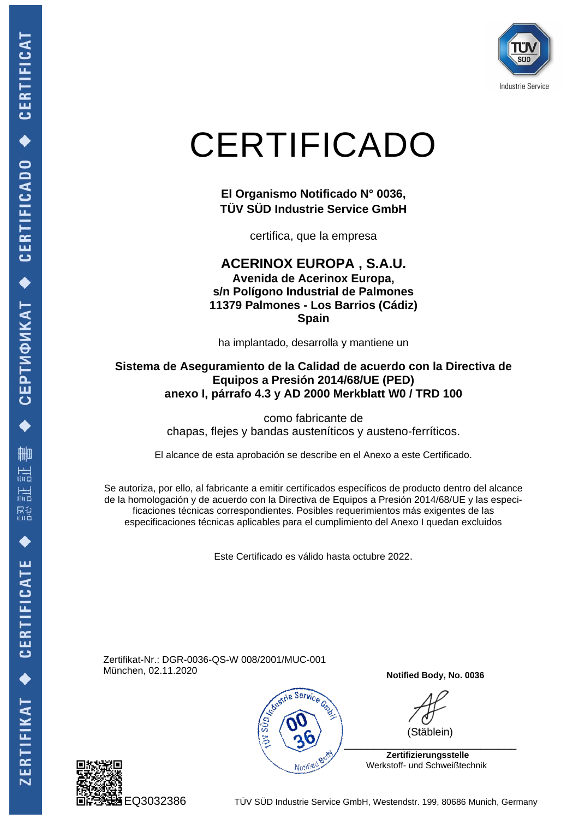

# CERTIFICADO

**El Organismo Notificado N° 0036, TÜV SÜD Industrie Service GmbH**

certifica, que la empresa

**ACERINOX EUROPA , S.A.U. Avenida de Acerinox Europa, s/n Polígono Industrial de Palmones 11379 Palmones - Los Barrios (Cádiz) Spain**

ha implantado, desarrolla y mantiene un

### **Sistema de Aseguramiento de la Calidad de acuerdo con la Directiva de Equipos a Presión 2014/68/UE (PED) anexo I, párrafo 4.3 y AD 2000 Merkblatt W0 / TRD 100**

como fabricante de chapas, flejes y bandas austeníticos y austeno-ferríticos.

El alcance de esta aprobación se describe en el Anexo a este Certificado.

Se autoriza, por ello, al fabricante a emitir certificados específicos de producto dentro del alcance de la homologación y de acuerdo con la Directiva de Equipos a Presión 2014/68/UE y las especificaciones técnicas correspondientes. Posibles requerimientos más exigentes de las especificaciones técnicas aplicables para el cumplimiento del Anexo I quedan excluidos

Este Certificado es válido hasta octubre 2022.

Zertifikat-Nr.: DGR-0036-QS-W 008/2001/MUC-001 München, 02.11.2020



**Notified Body, No. 0036**

(Stäblein)

 \_\_\_\_\_\_\_\_\_\_\_\_\_\_\_\_\_\_\_\_\_\_\_\_\_\_\_\_\_  **Zertifizierungsstelle**



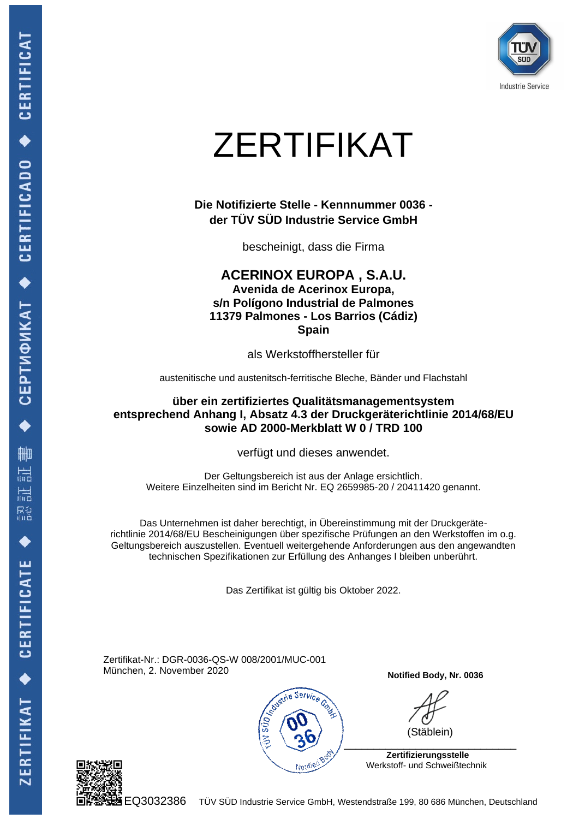

# ZERTIFIKAT

**Die Notifizierte Stelle - Kennnummer 0036 der TÜV SÜD Industrie Service GmbH**

bescheinigt, dass die Firma

**ACERINOX EUROPA , S.A.U. Avenida de Acerinox Europa, s/n Polígono Industrial de Palmones 11379 Palmones - Los Barrios (Cádiz) Spain**

als Werkstoffhersteller für

austenitische und austenitsch-ferritische Bleche, Bänder und Flachstahl

**über ein zertifiziertes Qualitätsmanagementsystem entsprechend Anhang I, Absatz 4.3 der Druckgeräterichtlinie 2014/68/EU sowie AD 2000-Merkblatt W 0 / TRD 100**

verfügt und dieses anwendet.

Der Geltungsbereich ist aus der Anlage ersichtlich. Weitere Einzelheiten sind im Bericht Nr. EQ 2659985-20 / 20411420 genannt.

Das Unternehmen ist daher berechtigt, in Übereinstimmung mit der Druckgeräterichtlinie 2014/68/EU Bescheinigungen über spezifische Prüfungen an den Werkstoffen im o.g. Geltungsbereich auszustellen. Eventuell weitergehende Anforderungen aus den angewandten technischen Spezifikationen zur Erfüllung des Anhanges I bleiben unberührt.

Das Zertifikat ist gültig bis Oktober 2022.

Zertifikat-Nr.: DGR-0036-QS-W 008/2001/MUC-001 München, 2. November 2020



**Notified Body, Nr. 0036**

(Stäblein)

 **Zertifizierungsstelle** Werkstoff- und Schweißtechnik



EQ3032386 TÜV SÜD Industrie Service GmbH, Westendstraße 199, 80 686 München, Deutschland